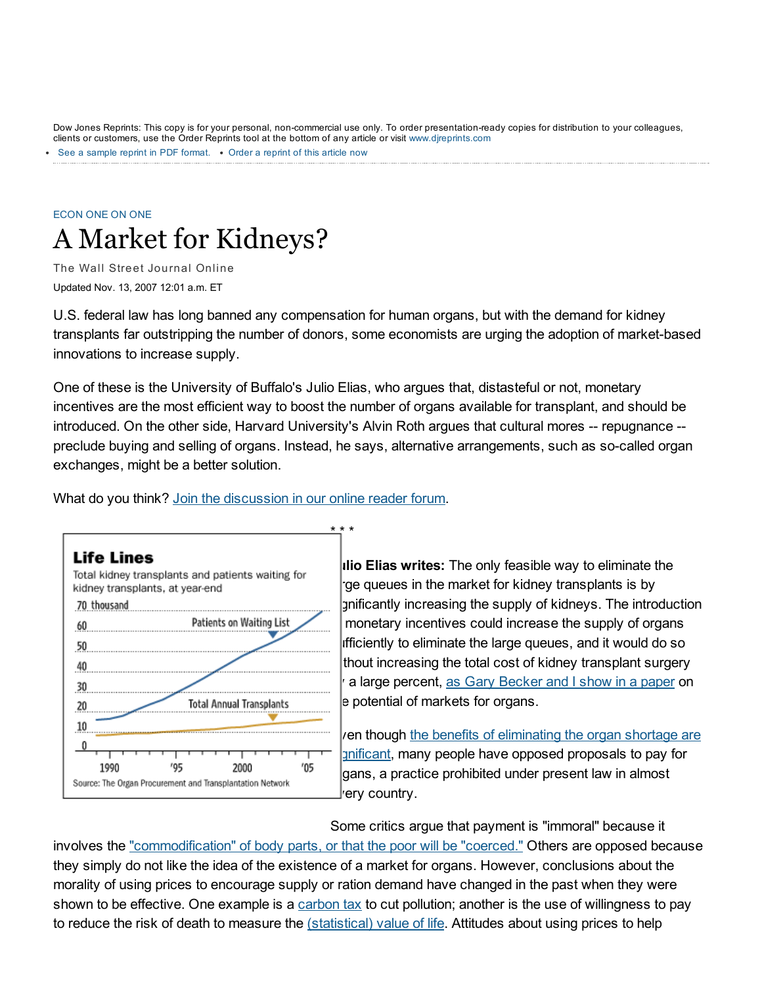See a sample reprint in PDF format. • Order a reprint of this article now Dow Jones Reprints: This copy is for your personal, non-commercial use only. To order presentation-ready copies for distribution to your colleagues, clients or customers, use the Order Reprints tool at the bottom of any article or visit www.djreprints.com

## ECON ONE ON ONE A Market for Kidneys?

Updated Nov. 13, 2007 12:01 a.m. ET The Wall Street Journal Online

U.S. federal law has long banned any compensation for human organs, but with the demand for kidney transplants far outstripping the number of donors, some economists are urging the adoption of market-based innovations to increase supply.

One of these is the University of Buffalo's Julio Elias, who argues that, distasteful or not, monetary incentives are the most efficient way to boost the number of organs available for transplant, and should be introduced. On the other side, Harvard University's Alvin Roth argues that cultural mores -- repugnance - preclude buying and selling of organs. Instead, he says, alternative arrangements, such as so-called organ exchanges, might be a better solution.

What do you think? Join the discussion in our online reader forum.



**Julio Elias writes:** The only feasible way to eliminate the rge queues in the market for kidney transplants is by anificantly increasing the supply of kidneys. The introduction monetary incentives could increase the supply of organs ifficiently to eliminate the large queues, and it would do so thout increasing the total cost of kidney transplant surgery a large percent, as Gary Becker and I show in a paper on e potential of markets for organs.

ven though the benefits of eliminating the organ shortage are gnificant, many people have opposed proposals to pay for gans, a practice prohibited under present law in almost ery country.

Some critics argue that payment is "immoral" because it

involves the "commodification" of body parts, or that the poor will be "coerced." Others are opposed because they simply do not like the idea of the existence of a market for organs. However, conclusions about the morality of using prices to encourage supply or ration demand have changed in the past when they were shown to be effective. One example is a carbon tax to cut pollution; another is the use of willingness to pay to reduce the risk of death to measure the (statistical) value of life. Attitudes about using prices to help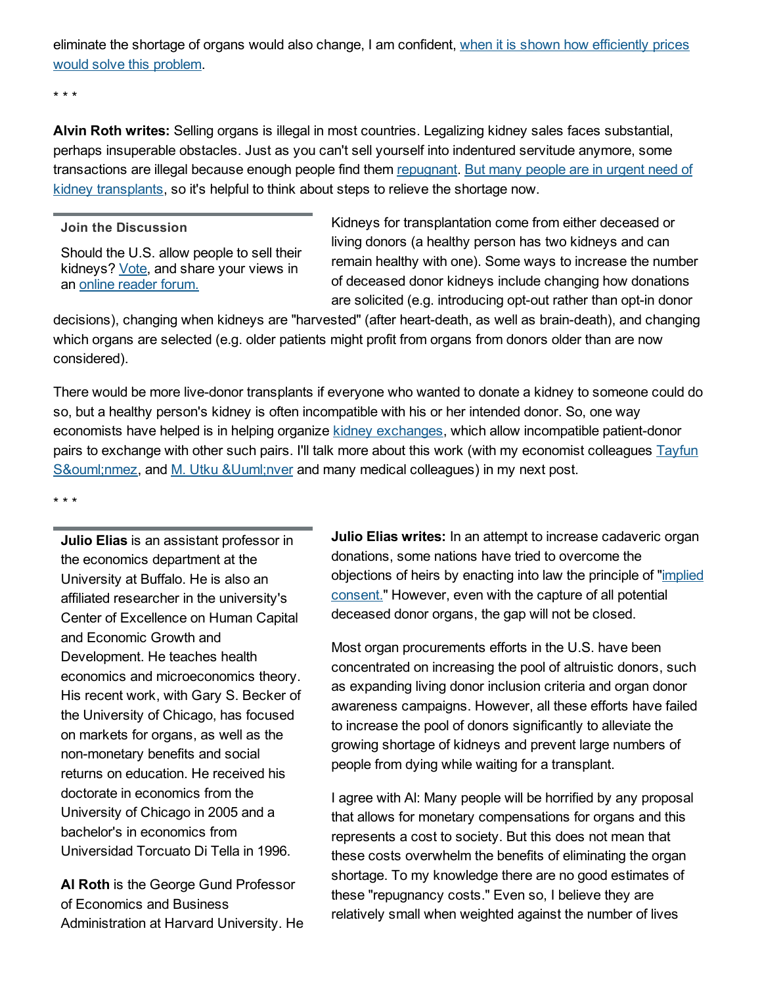eliminate the shortage of organs would also change, I am confident, when it is shown how efficiently prices would solve this problem.

\* \* \*

**Alvin Roth writes:** Selling organs is illegal in most countries. Legalizing kidney sales faces substantial, perhaps insuperable obstacles. Just as you can't sell yourself into indentured servitude anymore, some transactions are illegal because enough people find them repugnant. But many people are in urgent need of kidney transplants, so it's helpful to think about steps to relieve the shortage now.

## **Join the Discussion**

Should the U.S. allow people to sell their kidneys? Vote, and share your views in an online reader forum.

Kidneys for transplantation come from either deceased or living donors (a healthy person has two kidneys and can remain healthy with one). Some ways to increase the number of deceased donor kidneys include changing how donations are solicited (e.g. introducing opt-out rather than opt-in donor

decisions), changing when kidneys are "harvested" (after heart-death, as well as brain-death), and changing which organs are selected (e.g. older patients might profit from organs from donors older than are now considered).

There would be more live-donor transplants if everyone who wanted to donate a kidney to someone could do so, but a healthy person's kidney is often incompatible with his or her intended donor. So, one way economists have helped is in helping organize kidney exchanges, which allow incompatible patient-donor pairs to exchange with other such pairs. I'll talk more about this work (with my economist colleagues Tayfun Sönmez, and M. Utku & Uuml;nver and many medical colleagues) in my next post.

\* \* \*

**Julio Elias** is an assistant professor in the economics department at the University at Buffalo. He is also an affiliated researcher in the university's Center of Excellence on Human Capital and Economic Growth and Development. He teaches health economics and microeconomics theory. His recent work, with Gary S. Becker of the University of Chicago, has focused on markets for organs, as well as the non-monetary benefits and social returns on education. He received his doctorate in economics from the University of Chicago in 2005 and a bachelor's in economics from Universidad Torcuato Di Tella in 1996.

**Al Roth** is the George Gund Professor of Economics and Business Administration at Harvard University. He **Julio Elias writes:** In an attempt to increase cadaveric organ donations, some nations have tried to overcome the objections of heirs by enacting into law the principle of "implied consent." However, even with the capture of all potential deceased donor organs, the gap will not be closed.

Most organ procurements efforts in the U.S. have been concentrated on increasing the pool of altruistic donors, such as expanding living donor inclusion criteria and organ donor awareness campaigns. However, all these efforts have failed to increase the pool of donors significantly to alleviate the growing shortage of kidneys and prevent large numbers of people from dying while waiting for a transplant.

I agree with Al: Many people will be horrified by any proposal that allows for monetary compensations for organs and this represents a cost to society. But this does not mean that these costs overwhelm the benefits of eliminating the organ shortage. To my knowledge there are no good estimates of these "repugnancy costs." Even so, I believe they are relatively small when weighted against the number of lives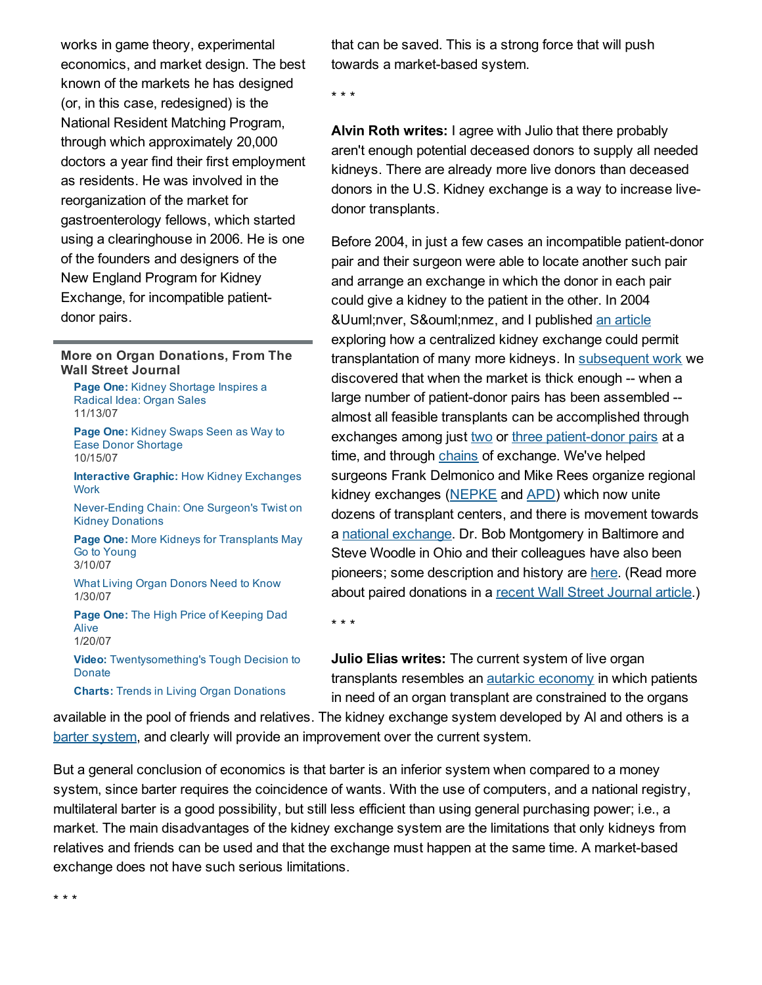works in game theory, experimental economics, and market design. The best known of the markets he has designed (or, in this case, redesigned) is the National Resident Matching Program, through which approximately 20,000 doctors a year find their first employment as residents. He was involved in the reorganization of the market for gastroenterology fellows, which started using a clearinghouse in 2006. He is one of the founders and designers of the New England Program for Kidney Exchange, for incompatible patientdonor pairs.

## **More on Organ Donations, From The Wall Street Journal**

**Page One:** Kidney Shortage Inspires a Radical Idea: Organ Sales 11/13/07

**Page One:** Kidney Swaps Seen as Way to Ease Donor Shortage 10/15/07

**Interactive Graphic:** How Kidney Exchanges **Work** 

Never-Ending Chain: One Surgeon's Twist on Kidney Donations

**Page One:** More Kidneys for Transplants May Go to Young 3/10/07

What Living Organ Donors Need to Know 1/30/07

**Page One:** The High Price of Keeping Dad Alive 1/20/07

**Video:** Twentysomething's Tough Decision to **Donate** 

**Charts:** Trends in Living Organ Donations

that can be saved. This is a strong force that will push towards a market-based system.

\* \* \*

**Alvin Roth writes:** I agree with Julio that there probably aren't enough potential deceased donors to supply all needed kidneys. There are already more live donors than deceased donors in the U.S. Kidney exchange is a way to increase livedonor transplants.

Before 2004, in just a few cases an incompatible patient-donor pair and their surgeon were able to locate another such pair and arrange an exchange in which the donor in each pair could give a kidney to the patient in the other. In 2004 & Uuml; nver, S& ouml; nmez, and I published an article exploring how a centralized kidney exchange could permit transplantation of many more kidneys. In subsequent work we discovered that when the market is thick enough -- when a large number of patient-donor pairs has been assembled - almost all feasible transplants can be accomplished through exchanges among just two or three patient-donor pairs at a time, and through chains of exchange. We've helped surgeons Frank Delmonico and Mike Rees organize regional kidney exchanges (NEPKE and APD) which now unite dozens of transplant centers, and there is movement towards a national exchange. Dr. Bob Montgomery in Baltimore and Steve Woodle in Ohio and their colleagues have also been pioneers; some description and history are here. (Read more about paired donations in a recent Wall Street Journal article.)

\* \* \*

**Julio Elias writes:** The current system of live organ transplants resembles an autarkic economy in which patients in need of an organ transplant are constrained to the organs

available in the pool of friends and relatives. The kidney exchange system developed by Al and others is a barter system, and clearly will provide an improvement over the current system.

But a general conclusion of economics is that barter is an inferior system when compared to a money system, since barter requires the coincidence of wants. With the use of computers, and a national registry, multilateral barter is a good possibility, but still less efficient than using general purchasing power; i.e., a market. The main disadvantages of the kidney exchange system are the limitations that only kidneys from relatives and friends can be used and that the exchange must happen at the same time. A market-based exchange does not have such serious limitations.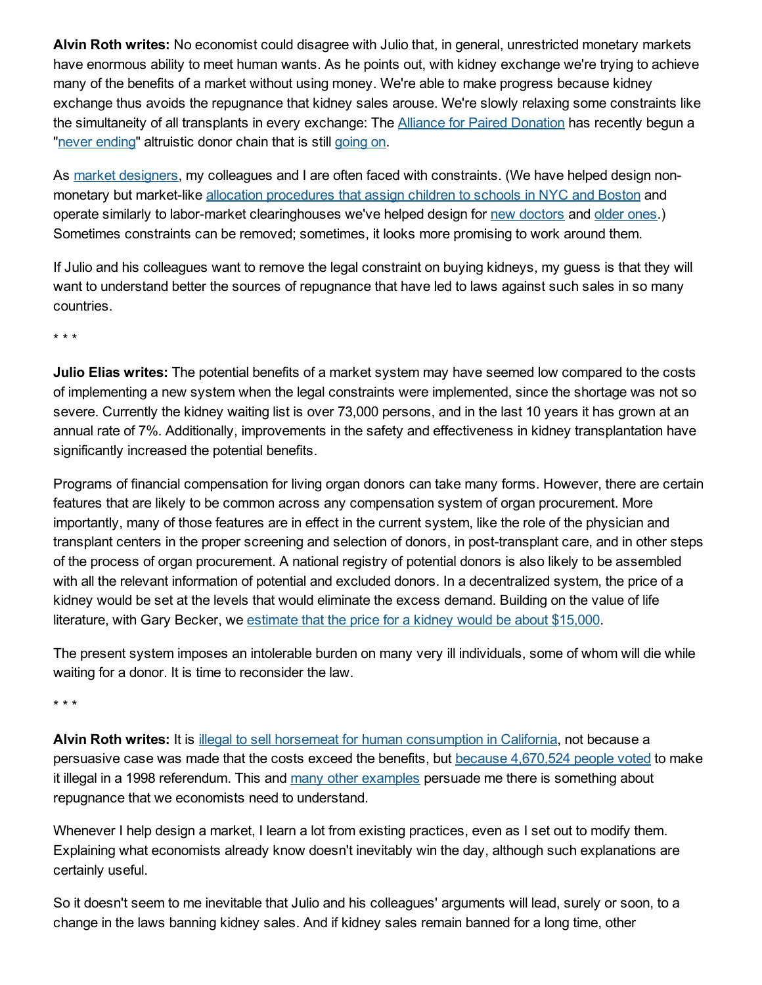**Alvin Roth writes:** No economist could disagree with Julio that, in general, unrestricted monetary markets have enormous ability to meet human wants. As he points out, with kidney exchange we're trying to achieve many of the benefits of a market without using money. We're able to make progress because kidney exchange thus avoids the repugnance that kidney sales arouse. We're slowly relaxing some constraints like the simultaneity of all transplants in every exchange: The **Alliance for Paired Donation** has recently begun a "never ending" altruistic donor chain that is still going on.

As market designers, my colleagues and I are often faced with constraints. (We have helped design nonmonetary but market-like allocation procedures that assign children to schools in NYC and Boston and operate similarly to labor-market clearinghouses we've helped design for new doctors and older ones.) Sometimes constraints can be removed; sometimes, it looks more promising to work around them.

If Julio and his colleagues want to remove the legal constraint on buying kidneys, my guess is that they will want to understand better the sources of repugnance that have led to laws against such sales in so many countries.

\* \* \*

**Julio Elias writes:** The potential benefits of a market system may have seemed low compared to the costs of implementing a new system when the legal constraints were implemented, since the shortage was not so severe. Currently the kidney waiting list is over 73,000 persons, and in the last 10 years it has grown at an annual rate of 7%. Additionally, improvements in the safety and effectiveness in kidney transplantation have significantly increased the potential benefits.

Programs of financial compensation for living organ donors can take many forms. However, there are certain features that are likely to be common across any compensation system of organ procurement. More importantly, many of those features are in effect in the current system, like the role of the physician and transplant centers in the proper screening and selection of donors, in post-transplant care, and in other steps of the process of organ procurement. A national registry of potential donors is also likely to be assembled with all the relevant information of potential and excluded donors. In a decentralized system, the price of a kidney would be set at the levels that would eliminate the excess demand. Building on the value of life literature, with Gary Becker, we estimate that the price for a kidney would be about \$15,000.

The present system imposes an intolerable burden on many very ill individuals, some of whom will die while waiting for a donor. It is time to reconsider the law.

\* \* \*

**Alvin Roth writes:** It is illegal to sell horsemeat for human consumption in California, not because a persuasive case was made that the costs exceed the benefits, but **because 4,670,524 people voted** to make it illegal in a 1998 referendum. This and many other examples persuade me there is something about repugnance that we economists need to understand.

Whenever I help design a market, I learn a lot from existing practices, even as I set out to modify them. Explaining what economists already know doesn't inevitably win the day, although such explanations are certainly useful.

So it doesn't seem to me inevitable that Julio and his colleagues' arguments will lead, surely or soon, to a change in the laws banning kidney sales. And if kidney sales remain banned for a long time, other